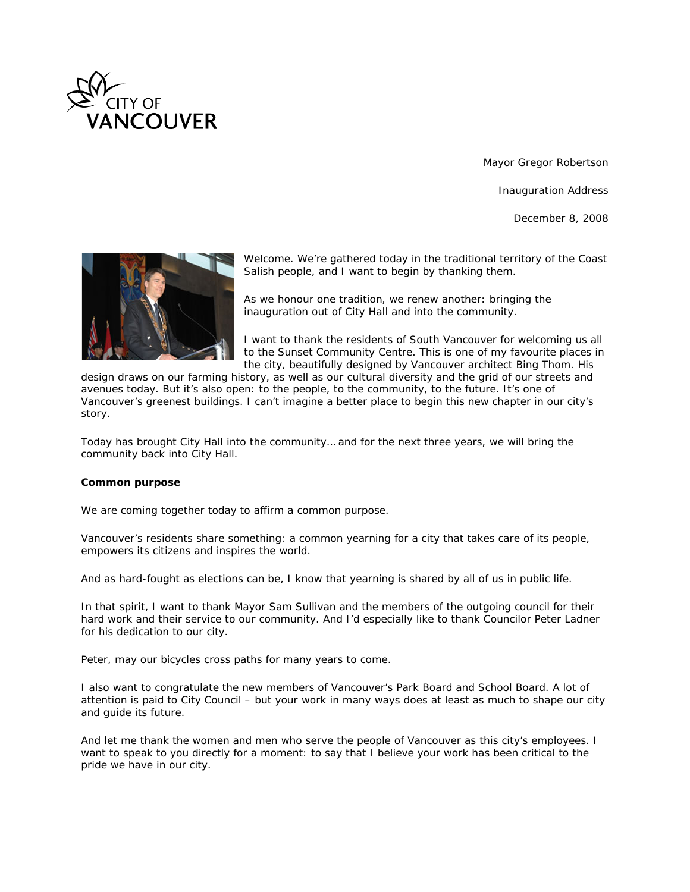

Mayor Gregor Robertson

Inauguration Address

December 8, 2008



*Welcome. We're gathered today in the traditional territory of the Coast Salish people, and I want to begin by thanking them.*

*As we honour one tradition, we renew another: bringing the inauguration out of City Hall and into the community.*

*I want to thank the residents of South Vancouver for welcoming us all to the Sunset Community Centre. This is one of my favourite places in the city, beautifully designed by Vancouver architect Bing Thom. His* 

*design draws on our farming history, as well as our cultural diversity and the grid of our streets and avenues today. But it's also open: to the people, to the community, to the future. It's one of Vancouver's greenest buildings. I can't imagine a better place to begin this new chapter in our city's story.*

*Today has brought City Hall into the community… and for the next three years, we will bring the community back into City Hall.*

# *Common purpose*

*We are coming together today to affirm a common purpose.*

*Vancouver's residents share something: a common yearning for a city that takes care of its people, empowers its citizens and inspires the world.*

*And as hard-fought as elections can be, I know that yearning is shared by all of us in public life.*

*In that spirit, I want to thank Mayor Sam Sullivan and the members of the outgoing council for their hard work and their service to our community. And I'd especially like to thank Councilor Peter Ladner for his dedication to our city.*

*Peter, may our bicycles cross paths for many years to come.*

*I also want to congratulate the new members of Vancouver's Park Board and School Board. A lot of attention is paid to City Council – but your work in many ways does at least as much to shape our city and guide its future.*

*And let me thank the women and men who serve the people of Vancouver as this city's employees. I want to speak to you directly for a moment: to say that I believe your work has been critical to the pride we have in our city.*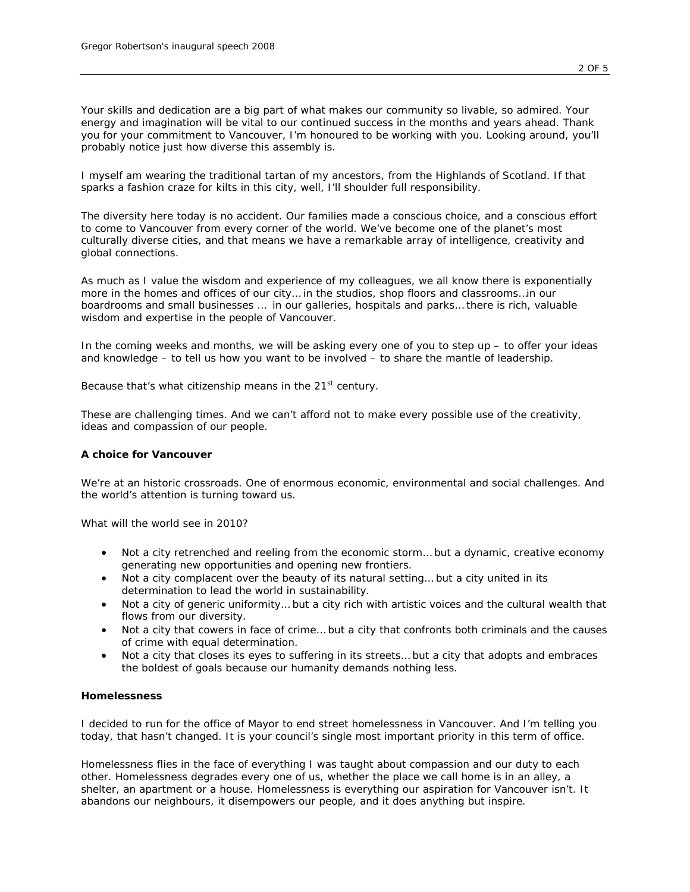*Your skills and dedication are a big part of what makes our community so livable, so admired. Your energy and imagination will be vital to our continued success in the months and years ahead. Thank you for your commitment to Vancouver, I'm honoured to be working with you. Looking around, you'll probably notice just how diverse this assembly is.*

*I myself am wearing the traditional tartan of my ancestors, from the Highlands of Scotland. If that sparks a fashion craze for kilts in this city, well, I'll shoulder full responsibility.*

*The diversity here today is no accident. Our families made a conscious choice, and a conscious effort to come to Vancouver from every corner of the world. We've become one of the planet's most culturally diverse cities, and that means we have a remarkable array of intelligence, creativity and global connections.*

*As much as I value the wisdom and experience of my colleagues, we all know there is exponentially more in the homes and offices of our city… in the studios, shop floors and classrooms…in our boardrooms and small businesses … in our galleries, hospitals and parks… there is rich, valuable wisdom and expertise in the people of Vancouver.*

*In the coming weeks and months, we will be asking every one of you to step up – to offer your ideas and knowledge – to tell us how you want to be involved – to share the mantle of leadership.*

*Because that's what citizenship means in the 21st century.*

*These are challenging times. And we can't afford not to make every possible use of the creativity, ideas and compassion of our people.*

# *A choice for Vancouver*

*We're at an historic crossroads. One of enormous economic, environmental and social challenges. And the world's attention is turning toward us.*

*What will the world see in 2010?*

- *Not a city retrenched and reeling from the economic storm… but a dynamic, creative economy generating new opportunities and opening new frontiers.*
- *Not a city complacent over the beauty of its natural setting… but a city united in its determination to lead the world in sustainability.*
- Not a city of generic uniformity... but a city rich with artistic voices and the cultural wealth that *flows from our diversity.*
- *Not a city that cowers in face of crime… but a city that confronts both criminals and the causes of crime with equal determination.*
- *Not a city that closes its eyes to suffering in its streets… but a city that adopts and embraces the boldest of goals because our humanity demands nothing less.*

# *Homelessness*

*I decided to run for the office of Mayor to end street homelessness in Vancouver. And I'm telling you today, that hasn't changed. It is your council's single most important priority in this term of office.*

*Homelessness flies in the face of everything I was taught about compassion and our duty to each other. Homelessness degrades every one of us, whether the place we call home is in an alley, a shelter, an apartment or a house. Homelessness is everything our aspiration for Vancouver isn't. It abandons our neighbours, it disempowers our people, and it does anything but inspire.*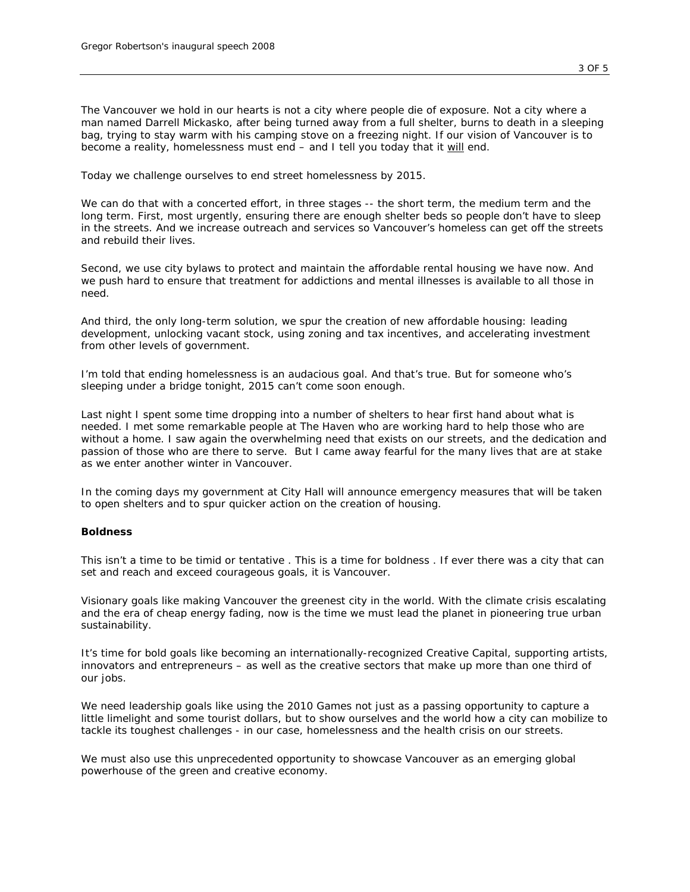*The Vancouver we hold in our hearts is not a city where people die of exposure. Not a city where a man named Darrell Mickasko, after being turned away from a full shelter, burns to death in a sleeping bag, trying to stay warm with his camping stove on a freezing night. If our vision of Vancouver is to become a reality, homelessness must end – and I tell you today that it will end.*

*Today we challenge ourselves to end street homelessness by 2015.*

*We can do that with a concerted effort, in three stages -- the short term, the medium term and the long term. First, most urgently, ensuring there are enough shelter beds so people don't have to sleep in the streets. And we increase outreach and services so Vancouver's homeless can get off the streets and rebuild their lives.*

*Second, we use city bylaws to protect and maintain the affordable rental housing we have now. And we push hard to ensure that treatment for addictions and mental illnesses is available to all those in need.*

*And third, the only long-term solution, we spur the creation of new affordable housing: leading*  development, unlocking vacant stock, using zoning and tax incentives, and accelerating investment *from other levels of government.*

*I'm told that ending homelessness is an audacious goal. And that's true. But for someone who's sleeping under a bridge tonight, 2015 can't come soon enough.* 

Last night I spent some time dropping into a number of shelters to hear first hand about what is *needed. I met some remarkable people at The Haven who are working hard to help those who are without a home. I saw again the overwhelming need that exists on our streets, and the dedication and passion of those who are there to serve. But I came away fearful for the many lives that are at stake as we enter another winter in Vancouver.*

*In the coming days my government at City Hall will announce emergency measures that will be taken to open shelters and to spur quicker action on the creation of housing.* 

## *Boldness*

*This isn't a time to be timid or tentative . This is a time for boldness . If ever there was a city that can set and reach and exceed courageous goals, it is Vancouver.*

*Visionary goals like making Vancouver the greenest city in the world. With the climate crisis escalating and the era of cheap energy fading, now is the time we must lead the planet in pioneering true urban sustainability.*

*It's time for bold goals like becoming an internationally-recognized Creative Capital, supporting artists, innovators and entrepreneurs – as well as the creative sectors that make up more than one third of our jobs.*

*We need leadership goals like using the 2010 Games not just as a passing opportunity to capture a little limelight and some tourist dollars, but to show ourselves and the world how a city can mobilize to tackle its toughest challenges - in our case, homelessness and the health crisis on our streets.*

*We must also use this unprecedented opportunity to showcase Vancouver as an emerging global powerhouse of the green and creative economy.*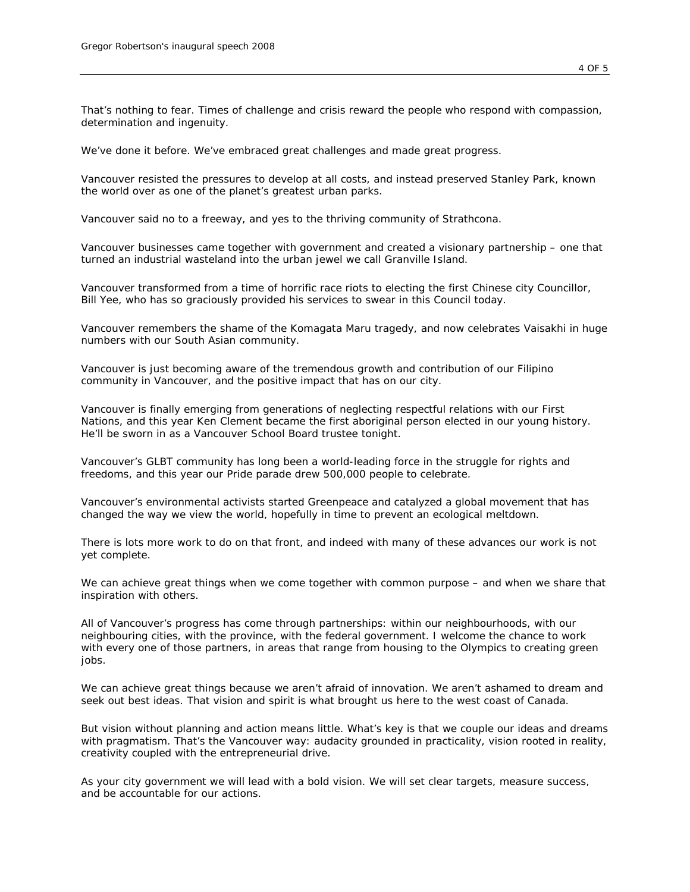*That's nothing to fear. Times of challenge and crisis reward the people who respond with compassion, determination and ingenuity.*

*We've done it before. We've embraced great challenges and made great progress.*

*Vancouver resisted the pressures to develop at all costs, and instead preserved Stanley Park, known the world over as one of the planet's greatest urban parks.*

*Vancouver said no to a freeway, and yes to the thriving community of Strathcona.*

*Vancouver businesses came together with government and created a visionary partnership – one that turned an industrial wasteland into the urban jewel we call Granville Island.*

*Vancouver transformed from a time of horrific race riots to electing the first Chinese city Councillor, Bill Yee, who has so graciously provided his services to swear in this Council today.*

*Vancouver remembers the shame of the Komagata Maru tragedy, and now celebrates Vaisakhi in huge numbers with our South Asian community.*

*Vancouver is just becoming aware of the tremendous growth and contribution of our Filipino community in Vancouver, and the positive impact that has on our city.*

*Vancouver is finally emerging from generations of neglecting respectful relations with our First Nations, and this year Ken Clement became the first aboriginal person elected in our young history. He'll be sworn in as a Vancouver School Board trustee tonight.*

*Vancouver's GLBT community has long been a world-leading force in the struggle for rights and freedoms, and this year our Pride parade drew 500,000 people to celebrate.*

*Vancouver's environmental activists started Greenpeace and catalyzed a global movement that has changed the way we view the world, hopefully in time to prevent an ecological meltdown.*

*There is lots more work to do on that front, and indeed with many of these advances our work is not yet complete.*

*We can achieve great things when we come together with common purpose – and when we share that inspiration with others.*

*All of Vancouver's progress has come through partnerships: within our neighbourhoods, with our neighbouring cities, with the province, with the federal government. I welcome the chance to work with every one of those partners, in areas that range from housing to the Olympics to creating green jobs.*

*We can achieve great things because we aren't afraid of innovation. We aren't ashamed to dream and seek out best ideas. That vision and spirit is what brought us here to the west coast of Canada.*

*But vision without planning and action means little. What's key is that we couple our ideas and dreams with pragmatism. That's the Vancouver way: audacity grounded in practicality, vision rooted in reality, creativity coupled with the entrepreneurial drive.*

*As your city government we will lead with a bold vision. We will set clear targets, measure success, and be accountable for our actions.*